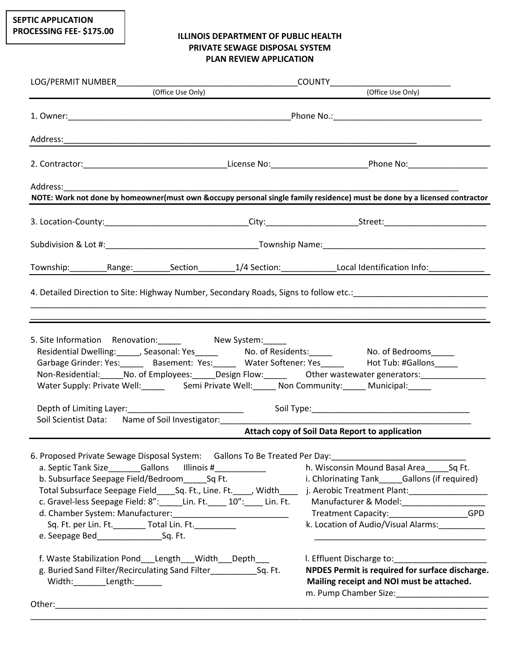## **ILLINOIS DEPARTMENT OF PUBLIC HEALTH PRIVATE SEWAGE DISPOSAL SYSTEM PLAN REVIEW APPLICATION**

|                                                                                                                                                                                                                                                                                                                                                                                                                                                                                                                                                            |  | NOTE: Work not done by homeowner(must own &occupy personal single family residence) must be done by a licensed contractor                                                                                                                                                                                                                                                                                                                                                                              |
|------------------------------------------------------------------------------------------------------------------------------------------------------------------------------------------------------------------------------------------------------------------------------------------------------------------------------------------------------------------------------------------------------------------------------------------------------------------------------------------------------------------------------------------------------------|--|--------------------------------------------------------------------------------------------------------------------------------------------------------------------------------------------------------------------------------------------------------------------------------------------------------------------------------------------------------------------------------------------------------------------------------------------------------------------------------------------------------|
|                                                                                                                                                                                                                                                                                                                                                                                                                                                                                                                                                            |  |                                                                                                                                                                                                                                                                                                                                                                                                                                                                                                        |
|                                                                                                                                                                                                                                                                                                                                                                                                                                                                                                                                                            |  | 3. Location-County:__________________________________City:______________________Street:_______________________                                                                                                                                                                                                                                                                                                                                                                                         |
|                                                                                                                                                                                                                                                                                                                                                                                                                                                                                                                                                            |  |                                                                                                                                                                                                                                                                                                                                                                                                                                                                                                        |
|                                                                                                                                                                                                                                                                                                                                                                                                                                                                                                                                                            |  | Township:___________Range:___________Section__________1/4 Section:______________Local Identification Info:______________                                                                                                                                                                                                                                                                                                                                                                               |
|                                                                                                                                                                                                                                                                                                                                                                                                                                                                                                                                                            |  |                                                                                                                                                                                                                                                                                                                                                                                                                                                                                                        |
|                                                                                                                                                                                                                                                                                                                                                                                                                                                                                                                                                            |  |                                                                                                                                                                                                                                                                                                                                                                                                                                                                                                        |
|                                                                                                                                                                                                                                                                                                                                                                                                                                                                                                                                                            |  |                                                                                                                                                                                                                                                                                                                                                                                                                                                                                                        |
| 5. Site Information Renovation: Mew System:<br>Residential Dwelling: ______, Seasonal: Yes______ No. of Residents: _____ No. of Bedrooms_____<br>Garbage Grinder: Yes:_______ Basement: Yes:______ Water Softener: Yes______ Hot Tub: #Gallons_____<br>Non-Residential: No. of Employees: Design Flow: Dubler wastewater generators: Non-Residential: No. of Employees: Design Flow: Dubler Wastewater generators:<br>Water Supply: Private Well:_____ Semi Private Well:_____ Non Community:_____ Municipal:_____<br>Depth of Limiting Layer:<br><u> </u> |  |                                                                                                                                                                                                                                                                                                                                                                                                                                                                                                        |
| Soil Scientist Data: Name of Soil Investigator: ________________________________                                                                                                                                                                                                                                                                                                                                                                                                                                                                           |  | <b>Attach copy of Soil Data Report to application</b>                                                                                                                                                                                                                                                                                                                                                                                                                                                  |
|                                                                                                                                                                                                                                                                                                                                                                                                                                                                                                                                                            |  |                                                                                                                                                                                                                                                                                                                                                                                                                                                                                                        |
| 6. Proposed Private Sewage Disposal System: Gallons To Be Treated Per Day: ___________________________________<br>a. Septic Tank Size_________Gallons lllinois #_____________<br>b. Subsurface Seepage Field/Bedroom Sq Ft.<br>Sq. Ft. per Lin. Ft. ________ Total Lin. Ft. _________                                                                                                                                                                                                                                                                      |  | h. Wisconsin Mound Basal Area Sq Ft.<br>i. Chlorinating Tank Gallons (if required)<br>Total Subsurface Seepage Field_____Sq. Ft., Line. Ft._____, Width________j. Aerobic Treatment Plant:___________________________________<br>c. Gravel-less Seepage Field: 8":_____Lin. Ft._____ 10":_____ Lin. Ft. Manufacturer & Model:_________________<br>Treatment Capacity:__________________GPD<br>k. Location of Audio/Visual Alarms:<br><u> 1980 - Johann John Stone, mars eta biztanleria (h. 1980).</u> |
| f. Waste Stabilization Pond Length Width Depth<br>g. Buried Sand Filter/Recirculating Sand Filter______________Sq. Ft.<br>Width:__________Length:_______<br>Other:<br><u> 1989 - Johann John Stoff, deutscher Stoffen und der Stoffen und der Stoffen und der Stoffen und der Stoffen u</u>                                                                                                                                                                                                                                                                |  | NPDES Permit is required for surface discharge.<br>Mailing receipt and NOI must be attached.                                                                                                                                                                                                                                                                                                                                                                                                           |

\_\_\_\_\_\_\_\_\_\_\_\_\_\_\_\_\_\_\_\_\_\_\_\_\_\_\_\_\_\_\_\_\_\_\_\_\_\_\_\_\_\_\_\_\_\_\_\_\_\_\_\_\_\_\_\_\_\_\_\_\_\_\_\_\_\_\_\_\_\_\_\_\_\_\_\_\_\_\_\_\_\_\_\_\_\_\_\_\_\_\_\_\_\_\_\_\_\_